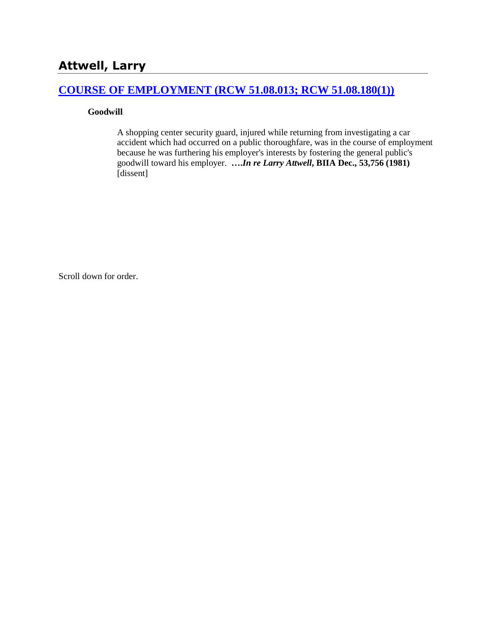## **[COURSE OF EMPLOYMENT \(RCW 51.08.013; RCW 51.08.180\(1\)\)](http://www.biia.wa.gov/SDSubjectIndex.html#COURSE_OF_EMPLOYMENT)**

#### **Goodwill**

A shopping center security guard, injured while returning from investigating a car accident which had occurred on a public thoroughfare, was in the course of employment because he was furthering his employer's interests by fostering the general public's goodwill toward his employer. **….***In re Larry Attwell***, BIIA Dec., 53,756 (1981)** [dissent]

Scroll down for order.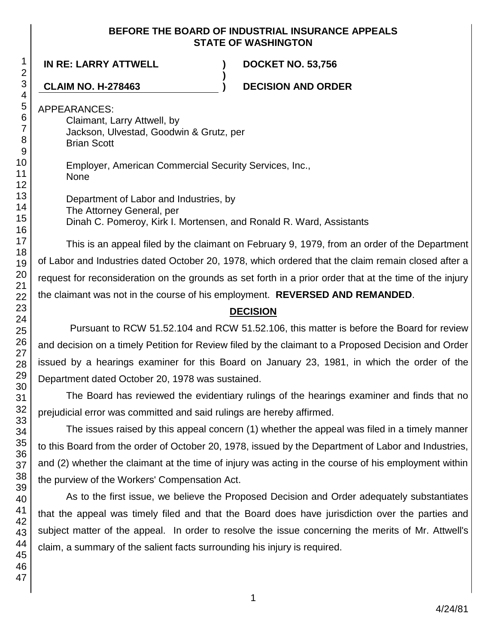### **BEFORE THE BOARD OF INDUSTRIAL INSURANCE APPEALS STATE OF WASHINGTON**

**IN RE: LARRY ATTWELL ) DOCKET NO. 53,756**

**CLAIM NO. H-278463 ) DECISION AND ORDER**

APPEARANCES:

Claimant, Larry Attwell, by Jackson, Ulvestad, Goodwin & Grutz, per Brian Scott

Employer, American Commercial Security Services, Inc., None

Department of Labor and Industries, by The Attorney General, per Dinah C. Pomeroy, Kirk I. Mortensen, and Ronald R. Ward, Assistants

**)**

This is an appeal filed by the claimant on February 9, 1979, from an order of the Department of Labor and Industries dated October 20, 1978, which ordered that the claim remain closed after a request for reconsideration on the grounds as set forth in a prior order that at the time of the injury the claimant was not in the course of his employment. **REVERSED AND REMANDED**.

# **DECISION**

Pursuant to RCW 51.52.104 and RCW 51.52.106, this matter is before the Board for review and decision on a timely Petition for Review filed by the claimant to a Proposed Decision and Order issued by a hearings examiner for this Board on January 23, 1981, in which the order of the Department dated October 20, 1978 was sustained.

The Board has reviewed the evidentiary rulings of the hearings examiner and finds that no prejudicial error was committed and said rulings are hereby affirmed.

The issues raised by this appeal concern (1) whether the appeal was filed in a timely manner to this Board from the order of October 20, 1978, issued by the Department of Labor and Industries, and (2) whether the claimant at the time of injury was acting in the course of his employment within the purview of the Workers' Compensation Act.

As to the first issue, we believe the Proposed Decision and Order adequately substantiates that the appeal was timely filed and that the Board does have jurisdiction over the parties and subject matter of the appeal. In order to resolve the issue concerning the merits of Mr. Attwell's claim, a summary of the salient facts surrounding his injury is required.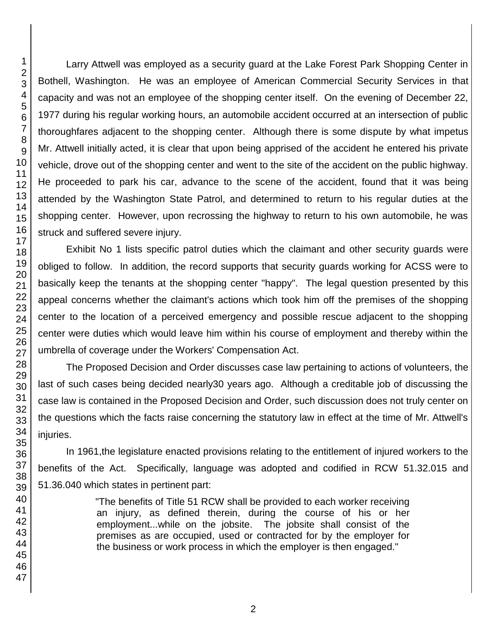Larry Attwell was employed as a security guard at the Lake Forest Park Shopping Center in Bothell, Washington. He was an employee of American Commercial Security Services in that capacity and was not an employee of the shopping center itself. On the evening of December 22, 1977 during his regular working hours, an automobile accident occurred at an intersection of public thoroughfares adjacent to the shopping center. Although there is some dispute by what impetus Mr. Attwell initially acted, it is clear that upon being apprised of the accident he entered his private vehicle, drove out of the shopping center and went to the site of the accident on the public highway. He proceeded to park his car, advance to the scene of the accident, found that it was being attended by the Washington State Patrol, and determined to return to his regular duties at the shopping center. However, upon recrossing the highway to return to his own automobile, he was struck and suffered severe injury.

Exhibit No 1 lists specific patrol duties which the claimant and other security guards were obliged to follow. In addition, the record supports that security guards working for ACSS were to basically keep the tenants at the shopping center "happy". The legal question presented by this appeal concerns whether the claimant's actions which took him off the premises of the shopping center to the location of a perceived emergency and possible rescue adjacent to the shopping center were duties which would leave him within his course of employment and thereby within the umbrella of coverage under the Workers' Compensation Act.

The Proposed Decision and Order discusses case law pertaining to actions of volunteers, the last of such cases being decided nearly30 years ago. Although a creditable job of discussing the case law is contained in the Proposed Decision and Order, such discussion does not truly center on the questions which the facts raise concerning the statutory law in effect at the time of Mr. Attwell's iniuries.

In 1961,the legislature enacted provisions relating to the entitlement of injured workers to the benefits of the Act. Specifically, language was adopted and codified in RCW 51.32.015 and 51.36.040 which states in pertinent part:

> "The benefits of Title 51 RCW shall be provided to each worker receiving an injury, as defined therein, during the course of his or her employment...while on the jobsite. The jobsite shall consist of the premises as are occupied, used or contracted for by the employer for the business or work process in which the employer is then engaged."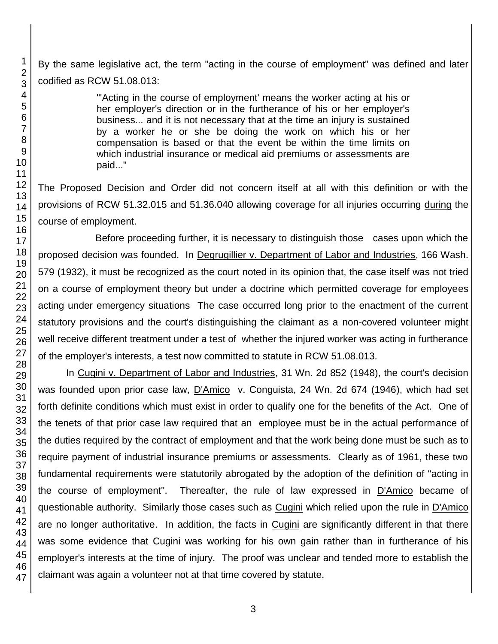By the same legislative act, the term "acting in the course of employment" was defined and later codified as RCW 51.08.013:

> "'Acting in the course of employment' means the worker acting at his or her employer's direction or in the furtherance of his or her employer's business... and it is not necessary that at the time an injury is sustained by a worker he or she be doing the work on which his or her compensation is based or that the event be within the time limits on which industrial insurance or medical aid premiums or assessments are paid..."

The Proposed Decision and Order did not concern itself at all with this definition or with the provisions of RCW 51.32.015 and 51.36.040 allowing coverage for all injuries occurring during the course of employment.

Before proceeding further, it is necessary to distinguish those cases upon which the proposed decision was founded. In Degrugillier v. Department of Labor and Industries, 166 Wash. 579 (1932), it must be recognized as the court noted in its opinion that, the case itself was not tried on a course of employment theory but under a doctrine which permitted coverage for employees acting under emergency situations The case occurred long prior to the enactment of the current statutory provisions and the court's distinguishing the claimant as a non-covered volunteer might well receive different treatment under a test of whether the injured worker was acting in furtherance of the employer's interests, a test now committed to statute in RCW 51.08.013.

In Cugini v. Department of Labor and Industries, 31 Wn. 2d 852 (1948), the court's decision was founded upon prior case law, D'Amico v. Conguista, 24 Wn. 2d 674 (1946), which had set forth definite conditions which must exist in order to qualify one for the benefits of the Act. One of the tenets of that prior case law required that an employee must be in the actual performance of the duties required by the contract of employment and that the work being done must be such as to require payment of industrial insurance premiums or assessments. Clearly as of 1961, these two fundamental requirements were statutorily abrogated by the adoption of the definition of "acting in the course of employment". Thereafter, the rule of law expressed in D'Amico became of questionable authority. Similarly those cases such as Cugini which relied upon the rule in D'Amico are no longer authoritative. In addition, the facts in Cugini are significantly different in that there was some evidence that Cugini was working for his own gain rather than in furtherance of his employer's interests at the time of injury. The proof was unclear and tended more to establish the claimant was again a volunteer not at that time covered by statute.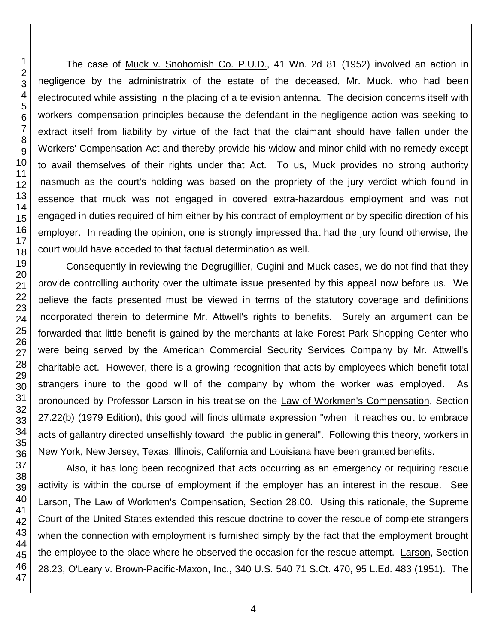The case of Muck v. Snohomish Co. P.U.D., 41 Wn. 2d 81 (1952) involved an action in negligence by the administratrix of the estate of the deceased, Mr. Muck, who had been electrocuted while assisting in the placing of a television antenna. The decision concerns itself with workers' compensation principles because the defendant in the negligence action was seeking to extract itself from liability by virtue of the fact that the claimant should have fallen under the Workers' Compensation Act and thereby provide his widow and minor child with no remedy except to avail themselves of their rights under that Act. To us, Muck provides no strong authority inasmuch as the court's holding was based on the propriety of the jury verdict which found in essence that muck was not engaged in covered extra-hazardous employment and was not engaged in duties required of him either by his contract of employment or by specific direction of his employer. In reading the opinion, one is strongly impressed that had the jury found otherwise, the court would have acceded to that factual determination as well.

Consequently in reviewing the Degrugillier, Cugini and Muck cases, we do not find that they provide controlling authority over the ultimate issue presented by this appeal now before us. We believe the facts presented must be viewed in terms of the statutory coverage and definitions incorporated therein to determine Mr. Attwell's rights to benefits. Surely an argument can be forwarded that little benefit is gained by the merchants at lake Forest Park Shopping Center who were being served by the American Commercial Security Services Company by Mr. Attwell's charitable act. However, there is a growing recognition that acts by employees which benefit total strangers inure to the good will of the company by whom the worker was employed. As pronounced by Professor Larson in his treatise on the Law of Workmen's Compensation, Section 27.22(b) (1979 Edition), this good will finds ultimate expression "when it reaches out to embrace acts of gallantry directed unselfishly toward the public in general". Following this theory, workers in New York, New Jersey, Texas, Illinois, California and Louisiana have been granted benefits.

Also, it has long been recognized that acts occurring as an emergency or requiring rescue activity is within the course of employment if the employer has an interest in the rescue. See Larson, The Law of Workmen's Compensation, Section 28.00. Using this rationale, the Supreme Court of the United States extended this rescue doctrine to cover the rescue of complete strangers when the connection with employment is furnished simply by the fact that the employment brought the employee to the place where he observed the occasion for the rescue attempt. Larson, Section 28.23, O'Leary v. Brown-Pacific-Maxon, Inc., 340 U.S. 540 71 S.Ct. 470, 95 L.Ed. 483 (1951). The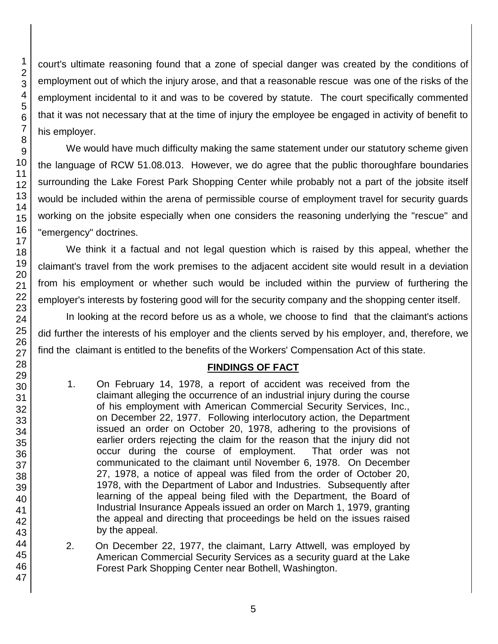45 46 47

court's ultimate reasoning found that a zone of special danger was created by the conditions of employment out of which the injury arose, and that a reasonable rescue was one of the risks of the employment incidental to it and was to be covered by statute. The court specifically commented that it was not necessary that at the time of injury the employee be engaged in activity of benefit to his employer.

We would have much difficulty making the same statement under our statutory scheme given the language of RCW 51.08.013. However, we do agree that the public thoroughfare boundaries surrounding the Lake Forest Park Shopping Center while probably not a part of the jobsite itself would be included within the arena of permissible course of employment travel for security guards working on the jobsite especially when one considers the reasoning underlying the "rescue" and "emergency" doctrines.

We think it a factual and not legal question which is raised by this appeal, whether the claimant's travel from the work premises to the adjacent accident site would result in a deviation from his employment or whether such would be included within the purview of furthering the employer's interests by fostering good will for the security company and the shopping center itself.

In looking at the record before us as a whole, we choose to find that the claimant's actions did further the interests of his employer and the clients served by his employer, and, therefore, we find the claimant is entitled to the benefits of the Workers' Compensation Act of this state.

## **FINDINGS OF FACT**

- 1. On February 14, 1978, a report of accident was received from the claimant alleging the occurrence of an industrial injury during the course of his employment with American Commercial Security Services, Inc., on December 22, 1977. Following interlocutory action, the Department issued an order on October 20, 1978, adhering to the provisions of earlier orders rejecting the claim for the reason that the injury did not occur during the course of employment. That order was not communicated to the claimant until November 6, 1978. On December 27, 1978, a notice of appeal was filed from the order of October 20, 1978, with the Department of Labor and Industries. Subsequently after learning of the appeal being filed with the Department, the Board of Industrial Insurance Appeals issued an order on March 1, 1979, granting the appeal and directing that proceedings be held on the issues raised by the appeal.
- 2. On December 22, 1977, the claimant, Larry Attwell, was employed by American Commercial Security Services as a security guard at the Lake Forest Park Shopping Center near Bothell, Washington.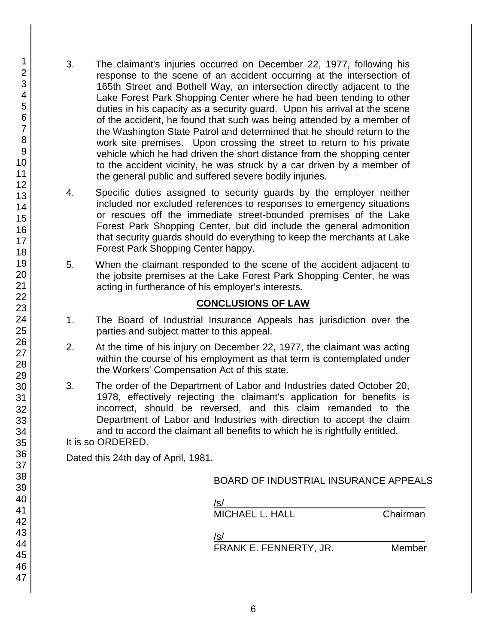- 3. The claimant's injuries occurred on December 22, 1977, following his response to the scene of an accident occurring at the intersection of 165th Street and Bothell Way, an intersection directly adjacent to the Lake Forest Park Shopping Center where he had been tending to other duties in his capacity as a security guard. Upon his arrival at the scene of the accident, he found that such was being attended by a member of the Washington State Patrol and determined that he should return to the work site premises. Upon crossing the street to return to his private vehicle which he had driven the short distance from the shopping center to the accident vicinity, he was struck by a car driven by a member of the general public and suffered severe bodily injuries.
- 4. Specific duties assigned to security guards by the employer neither included nor excluded references to responses to emergency situations or rescues off the immediate street-bounded premises of the Lake Forest Park Shopping Center, but did include the general admonition that security guards should do everything to keep the merchants at Lake Forest Park Shopping Center happy.
- 5. When the claimant responded to the scene of the accident adjacent to the jobsite premises at the Lake Forest Park Shopping Center, he was acting in furtherance of his employer's interests.

## **CONCLUSIONS OF LAW**

- 1. The Board of Industrial Insurance Appeals has jurisdiction over the parties and subject matter to this appeal.
- 2. At the time of his injury on December 22, 1977, the claimant was acting within the course of his employment as that term is contemplated under the Workers' Compensation Act of this state.
- 3. The order of the Department of Labor and Industries dated October 20, 1978, effectively rejecting the claimant's application for benefits is incorrect, should be reversed, and this claim remanded to the Department of Labor and Industries with direction to accept the claim and to accord the claimant all benefits to which he is rightfully entitled. It is so ORDERED.

Dated this 24th day of April, 1981.

BOARD OF INDUSTRIAL INSURANCE APPEALS

| $\sqrt{s}$             |          |
|------------------------|----------|
| <b>MICHAEL L. HALL</b> | Chairman |
| /s/                    |          |
| FRANK E. FENNERTY, JR. | Member   |

1 2